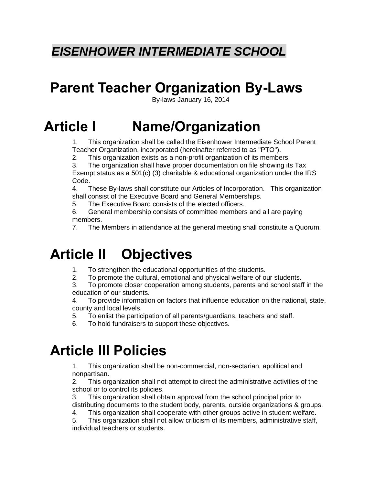# *EISENHOWER INTERMEDIATE SCHOOL*

# **Parent Teacher Organization By-Laws**

By-laws January 16, 2014

# **Article I Name/Organization**

1. This organization shall be called the Eisenhower Intermediate School Parent Teacher Organization, incorporated (hereinafter referred to as "PTO").

2. This organization exists as a non-profit organization of its members.

3. The organization shall have proper documentation on file showing its Tax Exempt status as a 501(c) (3) charitable & educational organization under the IRS Code.

4. These By-laws shall constitute our Articles of Incorporation. This organization shall consist of the Executive Board and General Memberships.

5. The Executive Board consists of the elected officers.

6. General membership consists of committee members and all are paying members.

7. The Members in attendance at the general meeting shall constitute a Quorum.

# **Article II Objectives**

- 1. To strengthen the educational opportunities of the students.
- 2. To promote the cultural, emotional and physical welfare of our students.

3. To promote closer cooperation among students, parents and school staff in the education of our students.

4. To provide information on factors that influence education on the national, state, county and local levels.

5. To enlist the participation of all parents/guardians, teachers and staff.

6. To hold fundraisers to support these objectives.

# **Article III Policies**

1. This organization shall be non-commercial, non-sectarian, apolitical and nonpartisan.

2. This organization shall not attempt to direct the administrative activities of the school or to control its policies.

3. This organization shall obtain approval from the school principal prior to distributing documents to the student body, parents, outside organizations & groups.

4. This organization shall cooperate with other groups active in student welfare.

5. This organization shall not allow criticism of its members, administrative staff, individual teachers or students.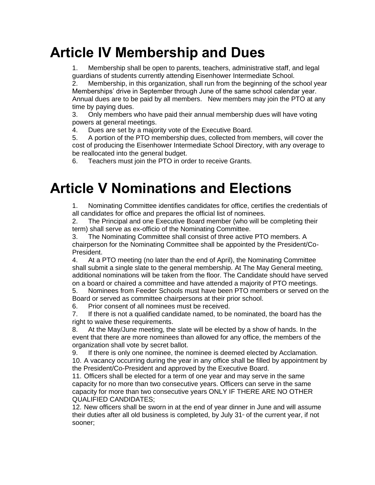# **Article IV Membership and Dues**

1. Membership shall be open to parents, teachers, administrative staff, and legal guardians of students currently attending Eisenhower Intermediate School.

2. Membership, in this organization, shall run from the beginning of the school year Memberships' drive in September through June of the same school calendar year. Annual dues are to be paid by all members. New members may join the PTO at any time by paying dues.

3. Only members who have paid their annual membership dues will have voting powers at general meetings.

4. Dues are set by a majority vote of the Executive Board.

5. A portion of the PTO membership dues, collected from members, will cover the cost of producing the Eisenhower Intermediate School Directory, with any overage to be reallocated into the general budget.

6. Teachers must join the PTO in order to receive Grants.

# **Article V Nominations and Elections**

1. Nominating Committee identifies candidates for office, certifies the credentials of all candidates for office and prepares the official list of nominees.

2. The Principal and one Executive Board member (who will be completing their term) shall serve as ex-officio of the Nominating Committee.

3. The Nominating Committee shall consist of three active PTO members. A chairperson for the Nominating Committee shall be appointed by the President/Co-President.

4. At a PTO meeting (no later than the end of April), the Nominating Committee shall submit a single slate to the general membership. At The May General meeting, additional nominations will be taken from the floor. The Candidate should have served on a board or chaired a committee and have attended a majority of PTO meetings.

5. Nominees from Feeder Schools must have been PTO members or served on the Board or served as committee chairpersons at their prior school.

6. Prior consent of all nominees must be received.

7. If there is not a qualified candidate named, to be nominated, the board has the right to waive these requirements.

8. At the May/June meeting, the slate will be elected by a show of hands. In the event that there are more nominees than allowed for any office, the members of the organization shall vote by secret ballot.

9. If there is only one nominee, the nominee is deemed elected by Acclamation.

10. A vacancy occurring during the year in any office shall be filled by appointment by the President/Co-President and approved by the Executive Board.

11. Officers shall be elected for a term of one year and may serve in the same capacity for no more than two consecutive years. Officers can serve in the same capacity for more than two consecutive years ONLY IF THERE ARE NO OTHER QUALIFIED CANDIDATES;

12. New officers shall be sworn in at the end of year dinner in June and will assume their duties after all old business is completed, by July  $31$ <sup>st</sup> of the current year, if not sooner;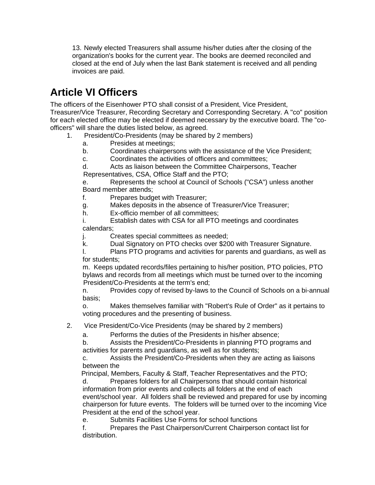13. Newly elected Treasurers shall assume his/her duties after the closing of the organization's books for the current year. The books are deemed reconciled and closed at the end of July when the last Bank statement is received and all pending invoices are paid.

# **Article VI Officers**

The officers of the Eisenhower PTO shall consist of a President, Vice President, Treasurer/Vice Treasurer, Recording Secretary and Corresponding Secretary. A "co" position for each elected office may be elected if deemed necessary by the executive board. The "coofficers" will share the duties listed below, as agreed.

- 1. President/Co-Presidents (may be shared by 2 members)
	- a. Presides at meetings;
	- b. Coordinates chairpersons with the assistance of the Vice President;
	- c. Coordinates the activities of officers and committees;

d. Acts as liaison between the Committee Chairpersons, Teacher Representatives, CSA, Office Staff and the PTO;

e. Represents the school at Council of Schools ("CSA") unless another Board member attends;

f. Prepares budget with Treasurer;

g. Makes deposits in the absence of Treasurer/Vice Treasurer;

h. Ex-officio member of all committees;

i. Establish dates with CSA for all PTO meetings and coordinates calendars;

j. Creates special committees as needed;

k. Dual Signatory on PTO checks over \$200 with Treasurer Signature.

l. Plans PTO programs and activities for parents and guardians, as well as for students;

m. Keeps updated records/files pertaining to his/her position, PTO policies, PTO bylaws and records from all meetings which must be turned over to the incoming President/Co-Presidents at the term's end;

n. Provides copy of revised by-laws to the Council of Schools on a bi-annual basis;

o. Makes themselves familiar with "Robert's Rule of Order" as it pertains to voting procedures and the presenting of business.

2. Vice President/Co-Vice Presidents (may be shared by 2 members)

a. Performs the duties of the Presidents in his/her absence;

b. Assists the President/Co-Presidents in planning PTO programs and activities for parents and guardians, as well as for students;

c. Assists the President/Co-Presidents when they are acting as liaisons between the

Principal, Members, Faculty & Staff, Teacher Representatives and the PTO;

d. Prepares folders for all Chairpersons that should contain historical information from prior events and collects all folders at the end of each event/school year. All folders shall be reviewed and prepared for use by incoming chairperson for future events. The folders will be turned over to the incoming Vice President at the end of the school year.

e. Submits Facilities Use Forms for school functions

f. Prepares the Past Chairperson/Current Chairperson contact list for distribution.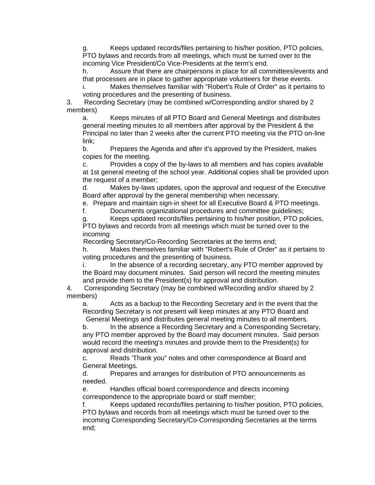Keeps updated records/files pertaining to his/her position, PTO policies, PTO bylaws and records from all meetings, which must be turned over to the incoming Vice President/Co Vice-Presidents at the term's end.

h. Assure that there are chairpersons in place for all committees/events and that processes are in place to gather appropriate volunteers for these events.

i. Makes themselves familiar with "Robert's Rule of Order" as it pertains to voting procedures and the presenting of business.

3. Recording Secretary (may be combined w/Corresponding and/or shared by 2 members)

a. Keeps minutes of all PTO Board and General Meetings and distributes general meeting minutes to all members after approval by the President & the Principal no later than 2 weeks after the current PTO meeting via the PTO on-line link;

b. Prepares the Agenda and after it's approved by the President, makes copies for the meeting.

c. Provides a copy of the by-laws to all members and has copies available at 1st general meeting of the school year. Additional copies shall be provided upon the request of a member;

d. Makes by-laws updates, upon the approval and request of the Executive Board after approval by the general membership when necessary.

e. Prepare and maintain sign-in sheet for all Executive Board & PTO meetings.

f. Documents organizational procedures and committee guidelines;

g. Keeps updated records/files pertaining to his/her position, PTO policies, PTO bylaws and records from all meetings which must be turned over to the

incoming

Recording Secretary/Co-Recording Secretaries at the terms end;

h. Makes themselves familiar with "Robert's Rule of Order" as it pertains to voting procedures and the presenting of business.

i. In the absence of a recording secretary, any PTO member approved by the Board may document minutes. Said person will record the meeting minutes and provide them to the President(s) for approval and distribution.

4. Corresponding Secretary (may be combined w/Recording and/or shared by 2 members)

a. Acts as a backup to the Recording Secretary and in the event that the Recording Secretary is not present will keep minutes at any PTO Board and General Meetings and distributes general meeting minutes to all members.

b. In the absence a Recording Secretary and a Corresponding Secretary, any PTO member approved by the Board may document minutes. Said person would record the meeting's minutes and provide them to the President(s) for approval and distribution.

c. Reads 'Thank you" notes and other correspondence at Board and General Meetings.

d. Prepares and arranges for distribution of PTO announcements as needed.

e. Handles official board correspondence and directs incoming correspondence to the appropriate board or staff member;

f. Keeps updated records/files pertaining to his/her position, PTO policies, PTO bylaws and records from all meetings which must be turned over to the incoming Corresponding Secretary/Co-Corresponding Secretaries at the terms end;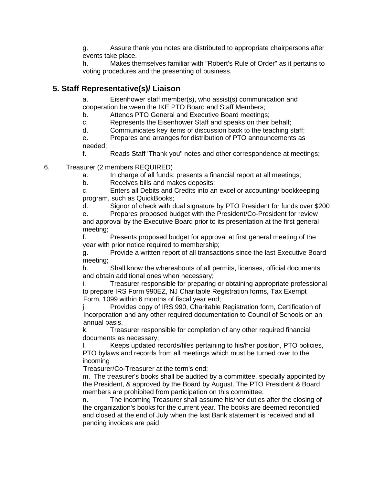g. Assure thank you notes are distributed to appropriate chairpersons after events take place.

h. Makes themselves familiar with "Robert's Rule of Order" as it pertains to voting procedures and the presenting of business.

### **5. Staff Representative(s)/ Liaison**

a. Eisenhower staff member(s), who assist(s) communication and cooperation between the IKE PTO Board and Staff Members;

b. Attends PTO General and Executive Board meetings;

c. Represents the Eisenhower Staff and speaks on their behalf;

d. Communicates key items of discussion back to the teaching staff;

e. Prepares and arranges for distribution of PTO announcements as needed;

f. Reads Staff 'Thank you" notes and other correspondence at meetings;

- 6. Treasurer (2 members REQUIRED)
	- a. In charge of all funds: presents a financial report at all meetings;

b. Receives bills and makes deposits;

c. Enters all Debits and Credits into an excel or accounting/ bookkeeping program, such as QuickBooks;

d. Signor of check with dual signature by PTO President for funds over \$200

e. Prepares proposed budget with the President/Co-President for review and approval by the Executive Board prior to its presentation at the first general meeting;

f. Presents proposed budget for approval at first general meeting of the year with prior notice required to membership;

g. Provide a written report of all transactions since the last Executive Board meeting;

h. Shall know the whereabouts of all permits, licenses, official documents and obtain additional ones when necessary;

i. Treasurer responsible for preparing or obtaining appropriate professional to prepare IRS Form 990EZ, NJ Charitable Registration forms, Tax Exempt Form, 1099 within 6 months of fiscal year end;

j. Provides copy of IRS 990, Charitable Registration form, Certification of Incorporation and any other required documentation to Council of Schools on an annual basis.

k. Treasurer responsible for completion of any other required financial documents as necessary;

l. Keeps updated records/files pertaining to his/her position, PTO policies, PTO bylaws and records from all meetings which must be turned over to the incoming

Treasurer/Co-Treasurer at the term's end;

m. The treasurer's books shall be audited by a committee, specially appointed by the President, & approved by the Board by August. The PTO President & Board members are prohibited from participation on this committee;

n. The incoming Treasurer shall assume his/her duties after the closing of the organization's books for the current year. The books are deemed reconciled and closed at the end of July when the last Bank statement is received and all pending invoices are paid.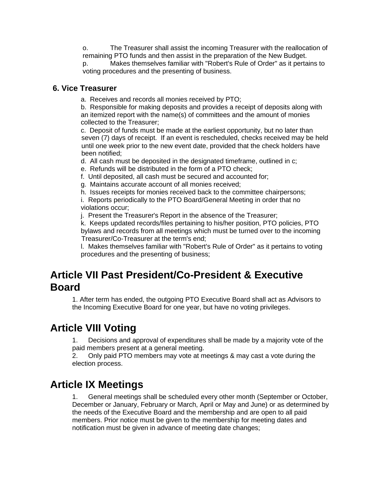o. The Treasurer shall assist the incoming Treasurer with the reallocation of remaining PTO funds and then assist in the preparation of the New Budget.

p. Makes themselves familiar with "Robert's Rule of Order" as it pertains to voting procedures and the presenting of business.

#### **6. Vice Treasurer**

a. Receives and records all monies received by PTO;

b. Responsible for making deposits and provides a receipt of deposits along with an itemized report with the name(s) of committees and the amount of monies collected to the Treasurer;

c. Deposit of funds must be made at the earliest opportunity, but no later than seven (7) days of receipt. If an event is rescheduled, checks received may be held until one week prior to the new event date, provided that the check holders have been notified;

d. All cash must be deposited in the designated timeframe, outlined in c;

- e. Refunds will be distributed in the form of a PTO check;
- f. Until deposited, all cash must be secured and accounted for;
- g. Maintains accurate account of all monies received;

h. Issues receipts for monies received back to the committee chairpersons;

i. Reports periodically to the PTO Board/General Meeting in order that no violations occur;

j. Present the Treasurer's Report in the absence of the Treasurer;

k. Keeps updated records/files pertaining to his/her position, PTO policies, PTO bylaws and records from all meetings which must be turned over to the incoming Treasurer/Co-Treasurer at the term's end;

l. Makes themselves familiar with "Robert's Rule of Order" as it pertains to voting procedures and the presenting of business;

## **Article VII Past President/Co-President & Executive Board**

1. After term has ended, the outgoing PTO Executive Board shall act as Advisors to the Incoming Executive Board for one year, but have no voting privileges.

## **Article VIII Voting**

1. Decisions and approval of expenditures shall be made by a majority vote of the paid members present at a general meeting.

2. Only paid PTO members may vote at meetings & may cast a vote during the election process.

# **Article IX Meetings**

1. General meetings shall be scheduled every other month (September or October, December or January, February or March, April or May and June) or as determined by the needs of the Executive Board and the membership and are open to all paid members. Prior notice must be given to the membership for meeting dates and notification must be given in advance of meeting date changes;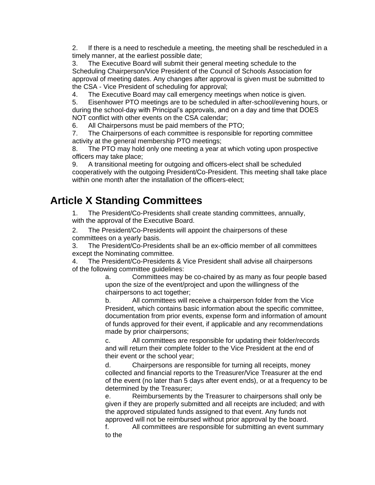2. If there is a need to reschedule a meeting, the meeting shall be rescheduled in a timely manner, at the earliest possible date;

3. The Executive Board will submit their general meeting schedule to the Scheduling Chairperson/Vice President of the Council of Schools Association for approval of meeting dates. Any changes after approval is given must be submitted to the CSA - Vice President of scheduling for approval;

4. The Executive Board may call emergency meetings when notice is given.

5. Eisenhower PTO meetings are to be scheduled in after-school/evening hours, or during the school-day with Principal's approvals, and on a day and time that DOES NOT conflict with other events on the CSA calendar;

6. All Chairpersons must be paid members of the PTO;

7. The Chairpersons of each committee is responsible for reporting committee activity at the general membership PTO meetings;

8. The PTO may hold only one meeting a year at which voting upon prospective officers may take place;

9. A transitional meeting for outgoing and officers-elect shall be scheduled cooperatively with the outgoing President/Co-President. This meeting shall take place within one month after the installation of the officers-elect;

## **Article X Standing Committees**

1. The President/Co-Presidents shall create standing committees, annually, with the approval of the Executive Board.

2. The President/Co-Presidents will appoint the chairpersons of these committees on a yearly basis.

3. The President/Co-Presidents shall be an ex-officio member of all committees except the Nominating committee.

4. The President/Co-Presidents & Vice President shall advise all chairpersons of the following committee guidelines:

> a. Committees may be co-chaired by as many as four people based upon the size of the event/project and upon the willingness of the chairpersons to act together;

> b. All committees will receive a chairperson folder from the Vice President, which contains basic information about the specific committee, documentation from prior events, expense form and information of amount of funds approved for their event, if applicable and any recommendations made by prior chairpersons;

c. All committees are responsible for updating their folder/records and will return their complete folder to the Vice President at the end of their event or the school year;

d. Chairpersons are responsible for turning all receipts, money collected and financial reports to the Treasurer/Vice Treasurer at the end of the event (no later than 5 days after event ends), or at a frequency to be determined by the Treasurer;

e. Reimbursements by the Treasurer to chairpersons shall only be given if they are properly submitted and all receipts are included; and with the approved stipulated funds assigned to that event. Any funds not approved will not be reimbursed without prior approval by the board.

f. All committees are responsible for submitting an event summary to the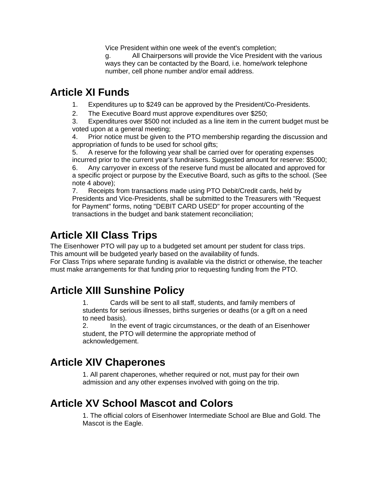Vice President within one week of the event's completion;

g. All Chairpersons will provide the Vice President with the various ways they can be contacted by the Board, i.e. home/work telephone number, cell phone number and/or email address.

## **Article XI Funds**

1. Expenditures up to \$249 can be approved by the President/Co-Presidents.

2. The Executive Board must approve expenditures over \$250;

3. Expenditures over \$500 not included as a line item in the current budget must be voted upon at a general meeting;

4. Prior notice must be given to the PTO membership regarding the discussion and appropriation of funds to be used for school gifts;

5. A reserve for the following year shall be carried over for operating expenses incurred prior to the current year's fundraisers. Suggested amount for reserve: \$5000; 6. Any carryover in excess of the reserve fund must be allocated and approved for a specific project or purpose by the Executive Board, such as gifts to the school. (See note 4 above);

7. Receipts from transactions made using PTO Debit/Credit cards, held by Presidents and Vice-Presidents, shall be submitted to the Treasurers with "Request for Payment" forms, noting "DEBIT CARD USED" for proper accounting of the transactions in the budget and bank statement reconciliation;

# **Article XII Class Trips**

The Eisenhower PTO will pay up to a budgeted set amount per student for class trips. This amount will be budgeted yearly based on the availability of funds.

For Class Trips where separate funding is available via the district or otherwise, the teacher must make arrangements for that funding prior to requesting funding from the PTO.

# **Article XIII Sunshine Policy**

1. Cards will be sent to all staff, students, and family members of students for serious illnesses, births surgeries or deaths (or a gift on a need to need basis).

2. In the event of tragic circumstances, or the death of an Eisenhower student, the PTO will determine the appropriate method of acknowledgement.

# **Article XIV Chaperones**

1. All parent chaperones, whether required or not, must pay for their own admission and any other expenses involved with going on the trip.

## **Article XV School Mascot and Colors**

1. The official colors of Eisenhower Intermediate School are Blue and Gold. The Mascot is the Eagle.